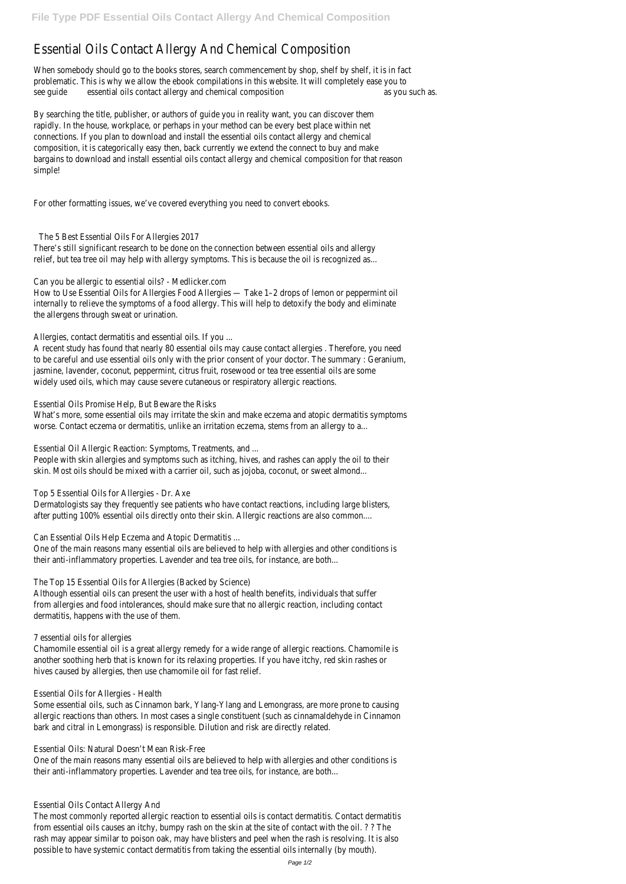## Essential Oils Contact Allergy And Chemical Composition

When somebody should go to the books stores, search commencement by shop, shelf by shelf, it is in fact problematic. This is why we allow the ebook compilations in this website. It will completely ease you to see quide essential oils contact allergy and chemical composition as you such as you such as.

By searching the title, publisher, or authors of guide you in reality want, you can discover them rapidly. In the house, workplace, or perhaps in your method can be every best place within net connections. If you plan to download and install the essential oils contact allergy and chemical composition, it is categorically easy then, back currently we extend the connect to buy and make bargains to download and install essential oils contact allergy and chemical composition for that reason simple!

For other formatting issues, we've covered everything you need to convert ebooks.

The 5 Best Essential Oils For Allergies 2017

What's more, some essential oils may irritate the skin and make eczema and atopic dermatitis symptoms worse. Contact eczema or dermatitis, unlike an irritation eczema, stems from an allergy to a...

There's still significant research to be done on the connection between essential oils and allergy relief, but tea tree oil may help with allergy symptoms. This is because the oil is recognized as...

Can you be allergic to essential oils? - Medlicker.com

How to Use Essential Oils for Allergies Food Allergies — Take 1–2 drops of lemon or peppermint oil internally to relieve the symptoms of a food allergy. This will help to detoxify the body and eliminate the allergens through sweat or urination.

Allergies, contact dermatitis and essential oils. If you ...

A recent study has found that nearly 80 essential oils may cause contact allergies . Therefore, you need to be careful and use essential oils only with the prior consent of your doctor. The summary : Geranium, jasmine, lavender, coconut, peppermint, citrus fruit, rosewood or tea tree essential oils are some widely used oils, which may cause severe cutaneous or respiratory allergic reactions.

Essential Oils Promise Help, But Beware the Risks

Essential Oil Allergic Reaction: Symptoms, Treatments, and ...

People with skin allergies and symptoms such as itching, hives, and rashes can apply the oil to their skin. Most oils should be mixed with a carrier oil, such as jojoba, coconut, or sweet almond...

Top 5 Essential Oils for Allergies - Dr. Axe

Dermatologists say they frequently see patients who have contact reactions, including large blisters, after putting 100% essential oils directly onto their skin. Allergic reactions are also common....

Can Essential Oils Help Eczema and Atopic Dermatitis ...

One of the main reasons many essential oils are believed to help with allergies and other conditions is their anti-inflammatory properties. Lavender and tea tree oils, for instance, are both...

The Top 15 Essential Oils for Allergies (Backed by Science)

Although essential oils can present the user with a host of health benefits, individuals that suffer from allergies and food intolerances, should make sure that no allergic reaction, including contact dermatitis, happens with the use of them.

7 essential oils for allergies

Chamomile essential oil is a great allergy remedy for a wide range of allergic reactions. Chamomile is another soothing herb that is known for its relaxing properties. If you have itchy, red skin rashes or

hives caused by allergies, then use chamomile oil for fast relief.

Essential Oils for Allergies - Health

Some essential oils, such as Cinnamon bark, Ylang-Ylang and Lemongrass, are more prone to causing allergic reactions than others. In most cases a single constituent (such as cinnamaldehyde in Cinnamon bark and citral in Lemongrass) is responsible. Dilution and risk are directly related.

Essential Oils: Natural Doesn't Mean Risk-Free

One of the main reasons many essential oils are believed to help with allergies and other conditions is their anti-inflammatory properties. Lavender and tea tree oils, for instance, are both...

Essential Oils Contact Allergy And

The most commonly reported allergic reaction to essential oils is contact dermatitis. Contact dermatitis from essential oils causes an itchy, bumpy rash on the skin at the site of contact with the oil. ? ? The rash may appear similar to poison oak, may have blisters and peel when the rash is resolving. It is also possible to have systemic contact dermatitis from taking the essential oils internally (by mouth).